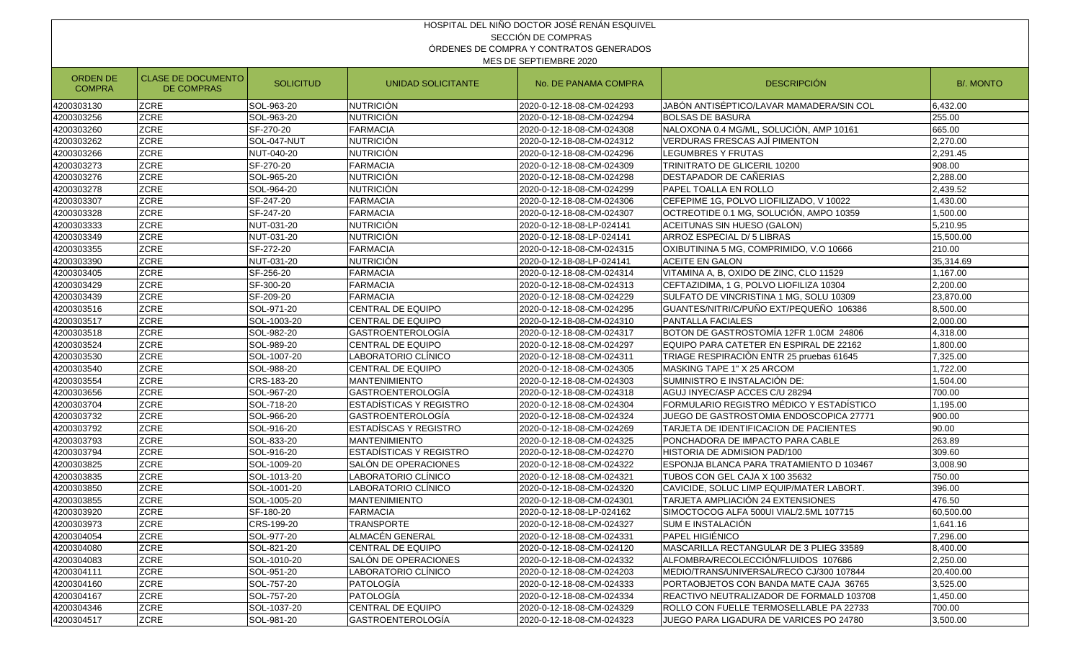|                                                                                                                                                                     |                    |             |                                | HOSPITAL DEL NIÑO DOCTOR JOSÉ RENÁN ESQUIVEL |                                          |           |  |  |  |
|---------------------------------------------------------------------------------------------------------------------------------------------------------------------|--------------------|-------------|--------------------------------|----------------------------------------------|------------------------------------------|-----------|--|--|--|
|                                                                                                                                                                     | SECCIÓN DE COMPRAS |             |                                |                                              |                                          |           |  |  |  |
| ÓRDENES DE COMPRA Y CONTRATOS GENERADOS                                                                                                                             |                    |             |                                |                                              |                                          |           |  |  |  |
| MES DE SEPTIEMBRE 2020                                                                                                                                              |                    |             |                                |                                              |                                          |           |  |  |  |
| ORDEN DE<br><b>CLASE DE DOCUMENTO</b><br><b>SOLICITUD</b><br><b>DESCRIPCIÓN</b><br>UNIDAD SOLICITANTE<br>No. DE PANAMA COMPRA<br><b>COMPRA</b><br><b>DE COMPRAS</b> |                    |             |                                |                                              |                                          |           |  |  |  |
| 4200303130                                                                                                                                                          | <b>ZCRE</b>        | SOL-963-20  | NUTRICIÓN                      | 2020-0-12-18-08-CM-024293                    | JABÓN ANTISÉPTICO/LAVAR MAMADERA/SIN COL | 6,432.00  |  |  |  |
| 4200303256                                                                                                                                                          | <b>ZCRE</b>        | SOL-963-20  | <b>NUTRICIÓN</b>               | 2020-0-12-18-08-CM-024294                    | <b>BOLSAS DE BASURA</b>                  | 255.00    |  |  |  |
| 4200303260                                                                                                                                                          | <b>ZCRE</b>        | SF-270-20   | <b>FARMACIA</b>                | 2020-0-12-18-08-CM-024308                    | NALOXONA 0.4 MG/ML, SOLUCIÓN, AMP 10161  | 665.00    |  |  |  |
| 4200303262                                                                                                                                                          | <b>ZCRE</b>        | SOL-047-NUT | <b>NUTRICIÓN</b>               | 2020-0-12-18-08-CM-024312                    | VERDURAS FRESCAS AJÍ PIMENTON            | 2,270.00  |  |  |  |
| 4200303266                                                                                                                                                          | ZCRE               | NUT-040-20  | <b>NUTRICIÓN</b>               | 2020-0-12-18-08-CM-024296                    | LEGUMBRES Y FRUTAS                       | 2,291.45  |  |  |  |
| 4200303273                                                                                                                                                          | <b>ZCRE</b>        | SF-270-20   | <b>FARMACIA</b>                | 2020-0-12-18-08-CM-024309                    | TRINITRATO DE GLICERIL 10200             | 908.00    |  |  |  |
| 4200303276                                                                                                                                                          | <b>ZCRE</b>        | SOL-965-20  | <b>NUTRICIÓN</b>               | 2020-0-12-18-08-CM-024298                    | DESTAPADOR DE CAÑERIAS                   | 2,288.00  |  |  |  |
| 4200303278                                                                                                                                                          | <b>ZCRE</b>        | SOL-964-20  | NUTRICIÓN                      | 2020-0-12-18-08-CM-024299                    | PAPEL TOALLA EN ROLLO                    | 2,439.52  |  |  |  |
| 4200303307                                                                                                                                                          | <b>ZCRE</b>        | SF-247-20   | <b>FARMACIA</b>                | 2020-0-12-18-08-CM-024306                    | CEFEPIME 1G, POLVO LIOFILIZADO, V 10022  | 1,430.00  |  |  |  |
| 4200303328                                                                                                                                                          | <b>ZCRE</b>        | SF-247-20   | <b>FARMACIA</b>                | 2020-0-12-18-08-CM-024307                    | OCTREOTIDE 0.1 MG, SOLUCIÓN, AMPO 10359  | 1,500.00  |  |  |  |
| 4200303333                                                                                                                                                          | ZCRE               | NUT-031-20  | <b>NUTRICIÓN</b>               | 2020-0-12-18-08-LP-024141                    | ACEITUNAS SIN HUESO (GALON)              | 5,210.95  |  |  |  |
| 4200303349                                                                                                                                                          | ZCRE               | NUT-031-20  | <b>NUTRICIÓN</b>               | 2020-0-12-18-08-LP-024141                    | ARROZ ESPECIAL D/ 5 LIBRAS               | 15,500.00 |  |  |  |
| 4200303355                                                                                                                                                          | <b>ZCRE</b>        | SF-272-20   | <b>FARMACIA</b>                | 2020-0-12-18-08-CM-024315                    | OXIBUTININA 5 MG, COMPRIMIDO, V.O 10666  | 210.00    |  |  |  |
| 4200303390                                                                                                                                                          | <b>ZCRE</b>        | NUT-031-20  | NUTRICIÓN                      | 2020-0-12-18-08-LP-024141                    | ACEITE EN GALON                          | 35,314.69 |  |  |  |
| 4200303405                                                                                                                                                          | <b>ZCRE</b>        | SF-256-20   | <b>FARMACIA</b>                | 2020-0-12-18-08-CM-024314                    | VITAMINA A, B, OXIDO DE ZINC, CLO 11529  | 1,167.00  |  |  |  |
| 4200303429                                                                                                                                                          | <b>ZCRE</b>        | SF-300-20   | <b>FARMACIA</b>                | 2020-0-12-18-08-CM-024313                    | CEFTAZIDIMA, 1 G, POLVO LIOFILIZA 10304  | 2,200.00  |  |  |  |
| 4200303439                                                                                                                                                          | <b>ZCRE</b>        | SF-209-20   | <b>FARMACIA</b>                | 2020-0-12-18-08-CM-024229                    | SULFATO DE VINCRISTINA 1 MG, SOLU 10309  | 23,870.00 |  |  |  |
| 4200303516                                                                                                                                                          | <b>ZCRE</b>        | SOL-971-20  | CENTRAL DE EQUIPO              | 2020-0-12-18-08-CM-024295                    | GUANTES/NITRI/C/PUÑO EXT/PEQUEÑO 106386  | 8,500.00  |  |  |  |
| 4200303517                                                                                                                                                          | ZCRE               | SOL-1003-20 | CENTRAL DE EQUIPO              | 2020-0-12-18-08-CM-024310                    | PANTALLA FACIALES                        | 2,000.00  |  |  |  |
| 4200303518                                                                                                                                                          | <b>ZCRE</b>        | SOL-982-20  | <b>GASTROENTEROLOGÍA</b>       | 2020-0-12-18-08-CM-024317                    | BOTON DE GASTROSTOMÍA 12FR 1.0CM 24806   | 4,318.00  |  |  |  |
| 4200303524                                                                                                                                                          | <b>ZCRE</b>        | SOL-989-20  | <b>CENTRAL DE EQUIPO</b>       | 2020-0-12-18-08-CM-024297                    | EQUIPO PARA CATETER EN ESPIRAL DE 22162  | 1,800.00  |  |  |  |
| 4200303530                                                                                                                                                          | <b>ZCRE</b>        | SOL-1007-20 | LABORATORIO CLÍNICO            | 2020-0-12-18-08-CM-024311                    | TRIAGE RESPIRACIÓN ENTR 25 pruebas 61645 | 7,325.00  |  |  |  |
| 4200303540                                                                                                                                                          | <b>ZCRE</b>        | SOL-988-20  | <b>CENTRAL DE EQUIPO</b>       | 2020-0-12-18-08-CM-024305                    | MASKING TAPE 1" X 25 ARCOM               | 1,722.00  |  |  |  |
| 4200303554                                                                                                                                                          | <b>ZCRE</b>        | CRS-183-20  | <b>MANTENIMIENTO</b>           | 2020-0-12-18-08-CM-024303                    | SUMINISTRO E INSTALACIÓN DE:             | 1,504.00  |  |  |  |
| 4200303656                                                                                                                                                          | ZCRE               | SOL-967-20  | <b>GASTROENTEROLOGÍA</b>       | 2020-0-12-18-08-CM-024318                    | AGUJ INYEC/ASP ACCES C/U 28294           | 700.00    |  |  |  |
| 4200303704                                                                                                                                                          | ZCRE               | SOL-718-20  | <b>ESTADÍSTICAS Y REGISTRO</b> | 2020-0-12-18-08-CM-024304                    | FORMULARIO REGISTRO MÉDICO Y ESTADÍSTICO | 1,195.00  |  |  |  |
| 4200303732                                                                                                                                                          | <b>ZCRE</b>        | SOL-966-20  | <b>GASTROENTEROLOGÍA</b>       | 2020-0-12-18-08-CM-024324                    | JUEGO DE GASTROSTOMIA ENDOSCOPICA 27771  | 900.00    |  |  |  |
| 4200303792                                                                                                                                                          | <b>ZCRE</b>        | SOL-916-20  | ESTADÍSCAS Y REGISTRO          | 2020-0-12-18-08-CM-024269                    | TARJETA DE IDENTIFICACION DE PACIENTES   | 90.00     |  |  |  |
| 4200303793                                                                                                                                                          | <b>ZCRE</b>        | SOL-833-20  | <b>MANTENIMIENTO</b>           | 2020-0-12-18-08-CM-024325                    | PONCHADORA DE IMPACTO PARA CABLE         | 263.89    |  |  |  |
| 4200303794                                                                                                                                                          | <b>ZCRE</b>        | SOL-916-20  | ESTADÍSTICAS Y REGISTRO        | 2020-0-12-18-08-CM-024270                    | HISTORIA DE ADMISION PAD/100             | 309.60    |  |  |  |
| 4200303825                                                                                                                                                          | <b>ZCRE</b>        | SOL-1009-20 | ISALÓN DE OPERACIONES          | 2020-0-12-18-08-CM-024322                    | ESPONJA BLANCA PARA TRATAMIENTO D 103467 | 3,008.90  |  |  |  |
| 4200303835                                                                                                                                                          | ZCRE               | SOL-1013-20 | LABORATORIO CLÍNICO            | 2020-0-12-18-08-CM-024321                    | TUBOS CON GEL CAJA X 100 35632           | 750.00    |  |  |  |
| 4200303850                                                                                                                                                          | ZCRE               | SOL-1001-20 | LABORATORIO CLÍNICO            | 2020-0-12-18-08-CM-024320                    | CAVICIDE, SOLUC LIMP EQUIP/MATER LABORT. | 396.00    |  |  |  |
| 4200303855                                                                                                                                                          | <b>ZCRE</b>        | SOL-1005-20 | MANTENIMIENTO                  | 2020-0-12-18-08-CM-024301                    | TARJETA AMPLIACIÓN 24 EXTENSIONES        | 476.50    |  |  |  |
| 4200303920                                                                                                                                                          | <b>ZCRE</b>        | SF-180-20   | <b>FARMACIA</b>                | 2020-0-12-18-08-LP-024162                    | SIMOCTOCOG ALFA 500UI VIAL/2.5ML 107715  | 60,500.00 |  |  |  |
| 4200303973                                                                                                                                                          | <b>ZCRE</b>        | CRS-199-20  | <b>TRANSPORTE</b>              | 2020-0-12-18-08-CM-024327                    | SUM E INSTALACIÓN                        | 1,641.16  |  |  |  |
| 4200304054                                                                                                                                                          | <b>ZCRE</b>        | SOL-977-20  | ALMACÉN GENERAL                | 2020-0-12-18-08-CM-024331                    | PAPEL HIGIÉNICO                          | 7,296.00  |  |  |  |
| 4200304080                                                                                                                                                          | <b>ZCRE</b>        | SOL-821-20  | <b>CENTRAL DE EQUIPO</b>       | 2020-0-12-18-08-CM-024120                    | MASCARILLA RECTANGULAR DE 3 PLIEG 33589  | 8,400.00  |  |  |  |
| 4200304083                                                                                                                                                          | <b>ZCRE</b>        | SOL-1010-20 | SALÓN DE OPERACIONES           | 2020-0-12-18-08-CM-024332                    | ALFOMBRA/RECOLECCIÓN/FLUIDOS 107686      | 2,250.00  |  |  |  |
| 4200304111                                                                                                                                                          | <b>ZCRE</b>        | SOL-951-20  | LABORATORIO CLÍNICO            | 2020-0-12-18-08-CM-024203                    | MEDIO/TRANS/UNIVERSAL/RECO CJ/300 107844 | 20,400.00 |  |  |  |
| 4200304160                                                                                                                                                          | <b>ZCRE</b>        | SOL-757-20  | PATOLOGÍA                      | 2020-0-12-18-08-CM-024333                    | PORTAOBJETOS CON BANDA MATE CAJA 36765   | 3,525.00  |  |  |  |
| 4200304167                                                                                                                                                          | <b>ZCRE</b>        | SOL-757-20  | PATOLOGÍA                      | 2020-0-12-18-08-CM-024334                    | REACTIVO NEUTRALIZADOR DE FORMALD 103708 | 1,450.00  |  |  |  |
| 4200304346                                                                                                                                                          | <b>ZCRE</b>        | SOL-1037-20 | <b>CENTRAL DE EQUIPO</b>       | 2020-0-12-18-08-CM-024329                    | ROLLO CON FUELLE TERMOSELLABLE PA 22733  | 700.00    |  |  |  |
| 4200304517                                                                                                                                                          | <b>ZCRE</b>        | SOL-981-20  | GASTROENTEROLOGÍA              | 2020-0-12-18-08-CM-024323                    | JUEGO PARA LIGADURA DE VARICES PO 24780  | 3,500.00  |  |  |  |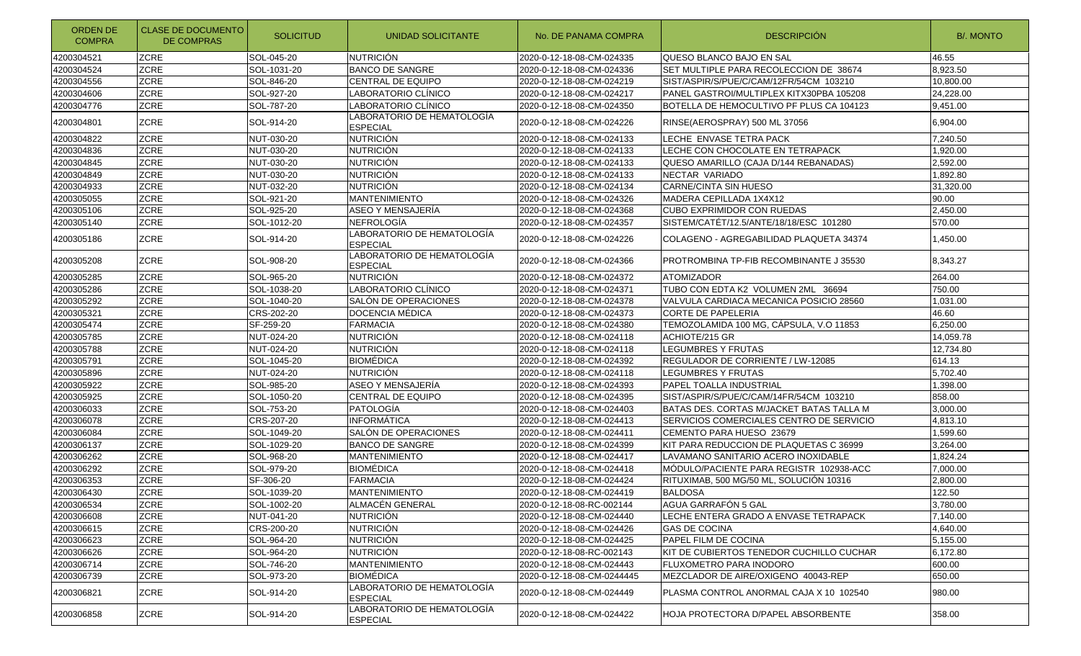| ORDEN DE<br><b>COMPRA</b> | <b>CLASE DE DOCUMENTO</b><br>DE COMPRAS | <b>SOLICITUD</b> | UNIDAD SOLICITANTE                            | No. DE PANAMA COMPRA       | <b>DESCRIPCIÓN</b>                        | <b>B/. MONTO</b> |
|---------------------------|-----------------------------------------|------------------|-----------------------------------------------|----------------------------|-------------------------------------------|------------------|
| 4200304521                | <b>ZCRE</b>                             | SOL-045-20       | <b>NUTRICIÓN</b>                              | 2020-0-12-18-08-CM-024335  | QUESO BLANCO BAJO EN SAL                  | 46.55            |
| 4200304524                | <b>ZCRE</b>                             | SOL-1031-20      | <b>BANCO DE SANGRE</b>                        | 2020-0-12-18-08-CM-024336  | SET MULTIPLE PARA RECOLECCION DE 38674    | 8,923.50         |
| 4200304556                | <b>ZCRE</b>                             | SOL-846-20       | <b>CENTRAL DE EQUIPO</b>                      | 2020-0-12-18-08-CM-024219  | SIST/ASPIR/S/PUE/C/CAM/12FR/54CM 103210   | 10.800.00        |
| 4200304606                | <b>ZCRE</b>                             | SOL-927-20       | LABORATORIO CLÍNICO                           | 2020-0-12-18-08-CM-024217  | PANEL GASTROI/MULTIPLEX KITX30PBA 105208  | 24,228.00        |
| 4200304776                | <b>ZCRE</b>                             | SOL-787-20       | LABORATORIO CLÍNICO                           | 2020-0-12-18-08-CM-024350  | BOTELLA DE HEMOCULTIVO PF PLUS CA 104123  | 9,451.00         |
| 4200304801                | <b>ZCRE</b>                             | SOL-914-20       | LABORATORIO DE HEMATOLOGÍA<br><b>ESPECIAL</b> | 2020-0-12-18-08-CM-024226  | RINSE(AEROSPRAY) 500 ML 37056             | 6,904.00         |
| 4200304822                | <b>ZCRE</b>                             | NUT-030-20       | <b>NUTRICIÓN</b>                              | 2020-0-12-18-08-CM-024133  | LECHE ENVASE TETRA PACK                   | 7,240.50         |
| 4200304836                | <b>ZCRE</b>                             | NUT-030-20       | <b>NUTRICIÓN</b>                              | 2020-0-12-18-08-CM-024133  | LECHE CON CHOCOLATE EN TETRAPACK          | 1,920.00         |
| 4200304845                | ZCRE                                    | NUT-030-20       | <b>NUTRICIÓN</b>                              | 2020-0-12-18-08-CM-024133  | QUESO AMARILLO (CAJA D/144 REBANADAS)     | 2,592.00         |
| 4200304849                | ZCRE                                    | NUT-030-20       | <b>NUTRICIÓN</b>                              | 2020-0-12-18-08-CM-024133  | NECTAR VARIADO                            | 1,892.80         |
| 4200304933                | ZCRE                                    | NUT-032-20       | <b>NUTRICIÓN</b>                              | 2020-0-12-18-08-CM-024134  | CARNE/CINTA SIN HUESO                     | 31,320.00        |
| 4200305055                | ZCRE                                    | SOL-921-20       | <b>MANTENIMIENTO</b>                          | 2020-0-12-18-08-CM-024326  | MADERA CEPILLADA 1X4X12                   | 90.00            |
| 4200305106                | <b>ZCRE</b>                             | SOL-925-20       | ASEO Y MENSAJERÍA                             | 2020-0-12-18-08-CM-024368  | CUBO EXPRIMIDOR CON RUEDAS                | 2,450.00         |
| 4200305140                | ZCRE                                    | SOL-1012-20      | <b>NEFROLOGÍA</b>                             | 2020-0-12-18-08-CM-024357  | SISTEM/CATÉT/12.5/ANTE/18/18/ESC 101280   | 570.00           |
| 4200305186                | <b>ZCRE</b>                             | SOL-914-20       | LABORATORIO DE HEMATOLOGÍA<br><b>ESPECIAL</b> | 2020-0-12-18-08-CM-024226  | COLAGENO - AGREGABILIDAD PLAQUETA 34374   | 1,450.00         |
| 4200305208                | <b>ZCRE</b>                             | SOL-908-20       | LABORATORIO DE HEMATOLOGÍA<br><b>ESPECIAL</b> | 2020-0-12-18-08-CM-024366  | PROTROMBINA TP-FIB RECOMBINANTE J 35530   | 8,343.27         |
| 4200305285                | <b>ZCRE</b>                             | SOL-965-20       | <b>NUTRICIÓN</b>                              | 2020-0-12-18-08-CM-024372  | <b>ATOMIZADOR</b>                         | 264.00           |
| 4200305286                | ZCRE                                    | SOL-1038-20      | LABORATORIO CLÍNICO                           | 2020-0-12-18-08-CM-024371  | TUBO CON EDTA K2 VOLUMEN 2ML 36694        | 750.00           |
| 4200305292                | ZCRE                                    | SOL-1040-20      | SALÓN DE OPERACIONES                          | 2020-0-12-18-08-CM-024378  | VALVULA CARDIACA MECANICA POSICIO 28560   | 1,031.00         |
| 4200305321                | <b>ZCRE</b>                             | CRS-202-20       | DOCENCIA MÉDICA                               | 2020-0-12-18-08-CM-024373  | <b>CORTE DE PAPELERIA</b>                 | 46.60            |
| 4200305474                | ZCRE                                    | SF-259-20        | <b>FARMACIA</b>                               | 2020-0-12-18-08-CM-024380  | TEMOZOLAMIDA 100 MG, CÁPSULA, V.O 11853   | 6,250.00         |
| 4200305785                | <b>ZCRE</b>                             | NUT-024-20       | <b>NUTRICIÓN</b>                              | 2020-0-12-18-08-CM-024118  | ACHIOTE/215 GR                            | 14,059.78        |
| 4200305788                | ZCRE                                    | NUT-024-20       | <b>NUTRICIÓN</b>                              | 2020-0-12-18-08-CM-024118  | LEGUMBRES Y FRUTAS                        | 12,734.80        |
| 4200305791                | ZCRE                                    | SOL-1045-20      | <b>BIOMÉDICA</b>                              | 2020-0-12-18-08-CM-024392  | REGULADOR DE CORRIENTE / LW-12085         | 614.13           |
| 4200305896                | ZCRE                                    | NUT-024-20       | <b>NUTRICIÓN</b>                              | 2020-0-12-18-08-CM-024118  | LEGUMBRES Y FRUTAS                        | 5,702.40         |
| 4200305922                | ZCRE                                    | SOL-985-20       | ASEO Y MENSAJERÍA                             | 2020-0-12-18-08-CM-024393  | PAPEL TOALLA INDUSTRIAL                   | 1,398.00         |
| 4200305925                | ZCRE                                    | SOL-1050-20      | <b>CENTRAL DE EQUIPO</b>                      | 2020-0-12-18-08-CM-024395  | SIST/ASPIR/S/PUE/C/CAM/14FR/54CM 103210   | 858.00           |
| 4200306033                | <b>ZCRE</b>                             | SOL-753-20       | <b>PATOLOGÍA</b>                              | 2020-0-12-18-08-CM-024403  | BATAS DES. CORTAS M/JACKET BATAS TALLA M  | 3,000.00         |
| 4200306078                | <b>ZCRE</b>                             | CRS-207-20       | <b>INFORMATICA</b>                            | 2020-0-12-18-08-CM-024413  | SERVICIOS COMERCIALES CENTRO DE SERVICIO  | 4,813.10         |
| 4200306084                | ZCRE                                    | SOL-1049-20      | SALÓN DE OPERACIONES                          | 2020-0-12-18-08-CM-024411  | CEMENTO PARA HUESO 23679                  | 1,599.60         |
| 4200306137                | ZCRE                                    | SOL-1029-20      | <b>BANCO DE SANGRE</b>                        | 2020-0-12-18-08-CM-024399  | KIT PARA REDUCCION DE PLAQUETAS C 36999   | 3,264.00         |
| 4200306262                | ZCRE                                    | SOL-968-20       | <b>MANTENIMIENTO</b>                          | 2020-0-12-18-08-CM-024417  | LAVAMANO SANITARIO ACERO INOXIDABLE       | 1,824.24         |
| 4200306292                | ZCRE                                    | SOL-979-20       | <b>BIOMÉDICA</b>                              | 2020-0-12-18-08-CM-024418  | MÓDULO/PACIENTE PARA REGISTR 102938-ACC   | 7,000.00         |
| 4200306353                | <b>ZCRE</b>                             | SF-306-20        | <b>FARMACIA</b>                               | 2020-0-12-18-08-CM-024424  | RITUXIMAB, 500 MG/50 ML, SOLUCIÓN 10316   | 2,800.00         |
| 4200306430                | <b>ZCRE</b>                             | SOL-1039-20      | <b>MANTENIMIENTO</b>                          | 2020-0-12-18-08-CM-024419  | <b>BALDOSA</b>                            | 122.50           |
| 4200306534                | <b>ZCRE</b>                             | SOL-1002-20      | ALMACEN GENERAL                               | 2020-0-12-18-08-RC-002144  | AGUA GARRAFON 5 GAL                       | 3,780.00         |
| 4200306608                | ZCRE                                    | NUT-041-20       | <b>NUTRICIÓN</b>                              | 2020-0-12-18-08-CM-024440  | LECHE ENTERA GRADO A ENVASE TETRAPACK     | 7,140.00         |
| 4200306615                | ZCRE                                    | CRS-200-20       | <b>NUTRICIÓN</b>                              | 2020-0-12-18-08-CM-024426  | <b>GAS DE COCINA</b>                      | 4,640.00         |
| 4200306623                | ZCRE                                    | SOL-964-20       | <b>NUTRICIÓN</b>                              | 2020-0-12-18-08-CM-024425  | PAPEL FILM DE COCINA                      | 5,155.00         |
| 4200306626                | <b>ZCRE</b>                             | SOL-964-20       | <b>NUTRICIÓN</b>                              | 2020-0-12-18-08-RC-002143  | KIT DE CUBIERTOS TENEDOR CUCHILLO CUCHAR  | 6.172.80         |
| 4200306714                | <b>ZCRE</b>                             | SOL-746-20       | <b>MANTENIMIENTO</b>                          | 2020-0-12-18-08-CM-024443  | FLUXOMETRO PARA INODORO                   | 600.00           |
| 4200306739                | <b>ZCRE</b>                             | SOL-973-20       | <b>BIOMÉDICA</b>                              | 2020-0-12-18-08-CM-0244445 | MEZCLADOR DE AIRE/OXIGENO 40043-REP       | 650.00           |
| 4200306821                | <b>ZCRE</b>                             | SOL-914-20       | LABORATORIO DE HEMATOLOGÍA<br><b>ESPECIAL</b> | 2020-0-12-18-08-CM-024449  | PLASMA CONTROL ANORMAL CAJA X 10_102540_  | 980.00           |
| 4200306858                | ZCRE                                    | SOL-914-20       | LABORATORIO DE HEMATOLOGÍA<br>ESPECIAL        | 2020-0-12-18-08-CM-024422  | <b>HOJA PROTECTORA D/PAPEL ABSORBENTE</b> | 358.00           |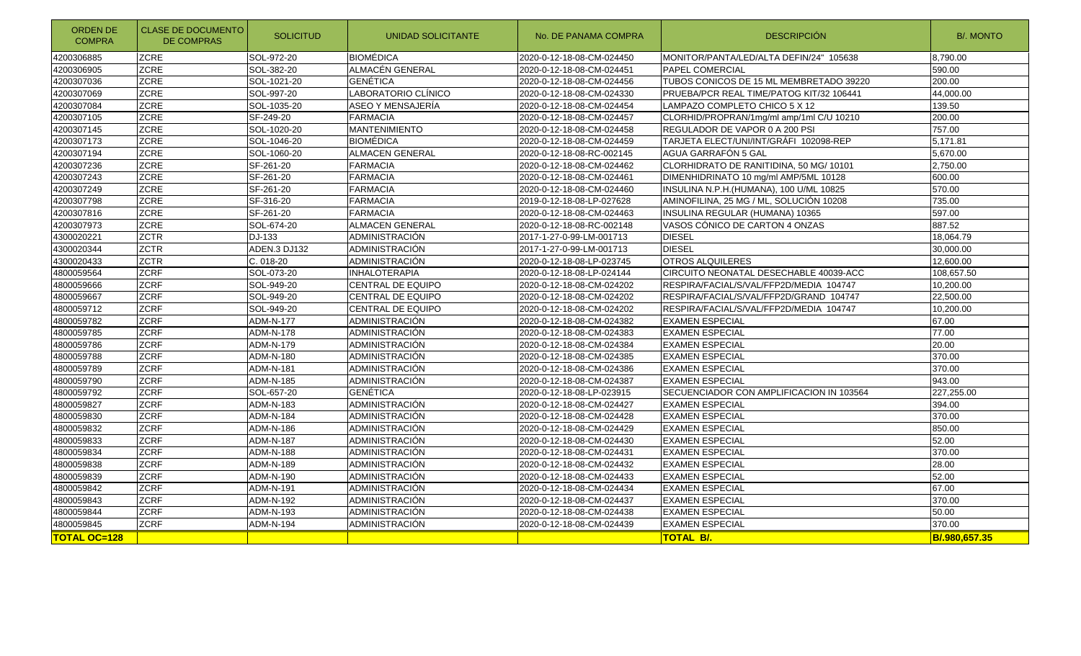| <b>ORDEN DE</b><br><b>COMPRA</b> | <b>CLASE DE DOCUMENTO</b><br><b>DE COMPRAS</b> | <b>SOLICITUD</b> | UNIDAD SOLICITANTE       | No. DE PANAMA COMPRA      | <b>DESCRIPCIÓN</b>                       | <b>B/. MONTO</b> |
|----------------------------------|------------------------------------------------|------------------|--------------------------|---------------------------|------------------------------------------|------------------|
| 4200306885                       | <b>ZCRE</b>                                    | SOL-972-20       | <b>BIOMÉDICA</b>         | 2020-0-12-18-08-CM-024450 | MONITOR/PANTA/LED/ALTA DEFIN/24" 105638  | 8.790.00         |
| 4200306905                       | <b>ZCRE</b>                                    | SOL-382-20       | ALMACÉN GENERAL          | 2020-0-12-18-08-CM-024451 | PAPEL COMERCIAL                          | 590.00           |
| 4200307036                       | <b>ZCRE</b>                                    | SOL-1021-20      | <b>GENÉTICA</b>          | 2020-0-12-18-08-CM-024456 | TUBOS CONICOS DE 15 ML MEMBRETADO 39220  | 200.00           |
| 4200307069                       | <b>ZCRE</b>                                    | SOL-997-20       | LABORATORIO CLÍNICO      | 2020-0-12-18-08-CM-024330 | PRUEBA/PCR REAL TIME/PATOG KIT/32 106441 | 44,000.00        |
| 4200307084                       | <b>ZCRE</b>                                    | SOL-1035-20      | ASEO Y MENSAJERÍA        | 2020-0-12-18-08-CM-024454 | LAMPAZO COMPLETO CHICO 5 X 12            | 139.50           |
| 4200307105                       | <b>ZCRE</b>                                    | SF-249-20        | <b>FARMACIA</b>          | 2020-0-12-18-08-CM-024457 | CLORHID/PROPRAN/1mg/ml amp/1ml C/U 10210 | 200.00           |
| 4200307145                       | <b>ZCRE</b>                                    | SOL-1020-20      | MANTENIMIENTO            | 2020-0-12-18-08-CM-024458 | REGULADOR DE VAPOR 0 A 200 PSI           | 757.00           |
| 4200307173                       | <b>ZCRE</b>                                    | SOL-1046-20      | <b>BIOMÉDICA</b>         | 2020-0-12-18-08-CM-024459 | TARJETA ELECT/UNI/INT/GRÁFI 102098-REP   | 5,171.81         |
| 4200307194                       | ZCRE                                           | SOL-1060-20      | <b>ALMACEN GENERAL</b>   | 2020-0-12-18-08-RC-002145 | AGUA GARRAFÓN 5 GAL                      | 5,670.00         |
| 4200307236                       | <b>ZCRE</b>                                    | SF-261-20        | <b>FARMACIA</b>          | 2020-0-12-18-08-CM-024462 | CLORHIDRATO DE RANITIDINA, 50 MG/ 10101  | 2,750.00         |
| 4200307243                       | <b>ZCRE</b>                                    | SF-261-20        | <b>FARMACIA</b>          | 2020-0-12-18-08-CM-024461 | DIMENHIDRINATO 10 mg/ml AMP/5ML 10128    | 600.00           |
| 4200307249                       | <b>ZCRE</b>                                    | SF-261-20        | <b>FARMACIA</b>          | 2020-0-12-18-08-CM-024460 | INSULINA N.P.H. (HUMANA), 100 U/ML 10825 | 570.00           |
| 4200307798                       | <b>ZCRE</b>                                    | SF-316-20        | <b>FARMACIA</b>          | 2019-0-12-18-08-LP-027628 | AMINOFILINA, 25 MG / ML, SOLUCIÓN 10208  | 735.00           |
| 4200307816                       | <b>ZCRE</b>                                    | SF-261-20        | <b>FARMACIA</b>          | 2020-0-12-18-08-CM-024463 | INSULINA REGULAR (HUMANA) 10365          | 597.00           |
| 4200307973                       | <b>ZCRE</b>                                    | SOL-674-20       | <b>ALMACEN GENERAL</b>   | 2020-0-12-18-08-RC-002148 | VASOS CÓNICO DE CARTON 4 ONZAS           | 887.52           |
| 4300020221                       | <b>ZCTR</b>                                    | DJ-133           | <b>ADMINISTRACIÓN</b>    | 2017-1-27-0-99-LM-001713  | <b>DIESEL</b>                            | 18,064.79        |
| 4300020344                       | <b>ZCTR</b>                                    | ADEN.3 DJ132     | ADMINISTRACIÓN           | 2017-1-27-0-99-LM-001713  | <b>DIESEL</b>                            | 30,000.00        |
| 4300020433                       | <b>ZCTR</b>                                    | $C.018-20$       | ADMINISTRACIÓN           | 2020-0-12-18-08-LP-023745 | <b>OTROS ALQUILERES</b>                  | 12,600.00        |
| 4800059564                       | <b>ZCRF</b>                                    | SOL-073-20       | <b>INHALOTERAPIA</b>     | 2020-0-12-18-08-LP-024144 | CIRCUITO NEONATAL DESECHABLE 40039-ACC   | 108,657.50       |
| 4800059666                       | <b>ZCRF</b>                                    | SOL-949-20       | <b>CENTRAL DE EQUIPO</b> | 2020-0-12-18-08-CM-024202 | RESPIRA/FACIAL/S/VAL/FFP2D/MEDIA 104747  | 10,200.00        |
| 4800059667                       | <b>ZCRF</b>                                    | SOL-949-20       | <b>CENTRAL DE EQUIPO</b> | 2020-0-12-18-08-CM-024202 | RESPIRA/FACIAL/S/VAL/FFP2D/GRAND 104747  | 22,500.00        |
| 4800059712                       | <b>ZCRF</b>                                    | SOL-949-20       | <b>CENTRAL DE EQUIPO</b> | 2020-0-12-18-08-CM-024202 | RESPIRA/FACIAL/S/VAL/FFP2D/MEDIA 104747  | 10,200.00        |
| 4800059782                       | <b>ZCRF</b>                                    | <b>ADM-N-177</b> | ADMINISTRACIÓN           | 2020-0-12-18-08-CM-024382 | <b>EXAMEN ESPECIAL</b>                   | 67.00            |
| 4800059785                       | ZCRF                                           | <b>ADM-N-178</b> | ADMINISTRACIÓN           | 2020-0-12-18-08-CM-024383 | <b>EXAMEN ESPECIAL</b>                   | 77.00            |
| 4800059786                       | <b>ZCRF</b>                                    | ADM-N-179        | ADMINISTRACIÓN           | 2020-0-12-18-08-CM-024384 | <b>EXAMEN ESPECIAL</b>                   | 20.00            |
| 4800059788                       | <b>ZCRF</b>                                    | ADM-N-180        | ADMINISTRACIÓN           | 2020-0-12-18-08-CM-024385 | <b>EXAMEN ESPECIAL</b>                   | 370.00           |
| 4800059789                       | <b>ZCRF</b>                                    | ADM-N-181        | <b>ADMINISTRACIÓN</b>    | 2020-0-12-18-08-CM-024386 | <b>EXAMEN ESPECIAL</b>                   | 370.00           |
| 4800059790                       | <b>ZCRF</b>                                    | <b>ADM-N-185</b> | ADMINISTRACIÓN           | 2020-0-12-18-08-CM-024387 | <b>EXAMEN ESPECIAL</b>                   | 943.00           |
| 4800059792                       | <b>ZCRF</b>                                    | SOL-657-20       | <b>GENÉTICA</b>          | 2020-0-12-18-08-LP-023915 | SECUENCIADOR CON AMPLIFICACION IN 103564 | 227,255.00       |
| 4800059827                       | <b>ZCRF</b>                                    | ADM-N-183        | ADMINISTRACIÓN           | 2020-0-12-18-08-CM-024427 | <b>EXAMEN ESPECIAL</b>                   | 394.00           |
| 4800059830                       | ZCRF                                           | <b>ADM-N-184</b> | ADMINISTRACIÓN           | 2020-0-12-18-08-CM-024428 | <b>EXAMEN ESPECIAL</b>                   | 370.00           |
| 4800059832                       | <b>ZCRF</b>                                    | ADM-N-186        | ADMINISTRACIÓN           | 2020-0-12-18-08-CM-024429 | <b>EXAMEN ESPECIAL</b>                   | 850.00           |
| 4800059833                       | <b>ZCRF</b>                                    | ADM-N-187        | ADMINISTRACIÓN           | 2020-0-12-18-08-CM-024430 | <b>EXAMEN ESPECIAL</b>                   | 52.00            |
| 4800059834                       | <b>ZCRF</b>                                    | ADM-N-188        | ADMINISTRACIÓN           | 2020-0-12-18-08-CM-024431 | <b>EXAMEN ESPECIAL</b>                   | 370.00           |
| 4800059838                       | <b>ZCRF</b>                                    | ADM-N-189        | ADMINISTRACIÓN           | 2020-0-12-18-08-CM-024432 | <b>EXAMEN ESPECIAL</b>                   | 28.00            |
| 4800059839                       | <b>ZCRF</b>                                    | ADM-N-190        | ADMINISTRACIÓN           | 2020-0-12-18-08-CM-024433 | <b>EXAMEN ESPECIAL</b>                   | 52.00            |
| 4800059842                       | <b>ZCRF</b>                                    | ADM-N-191        | ADMINISTRACIÓN           | 2020-0-12-18-08-CM-024434 | <b>EXAMEN ESPECIAL</b>                   | 67.00            |
| 4800059843                       | <b>ZCRF</b>                                    | ADM-N-192        | <b>ADMINISTRACIÓN</b>    | 2020-0-12-18-08-CM-024437 | <b>EXAMEN ESPECIAL</b>                   | 370.00           |
| 4800059844                       | <b>ZCRF</b>                                    | ADM-N-193        | ADMINISTRACIÓN           | 2020-0-12-18-08-CM-024438 | <b>EXAMEN ESPECIAL</b>                   | 50.00            |
| 4800059845                       | <b>ZCRF</b>                                    | ADM-N-194        | ADMINISTRACIÓN           | 2020-0-12-18-08-CM-024439 | <b>EXAMEN ESPECIAL</b>                   | 370.00           |
| <b>TOTAL OC=128</b>              |                                                |                  |                          |                           | <b>TOTAL B/.</b>                         | B/.980.657.35    |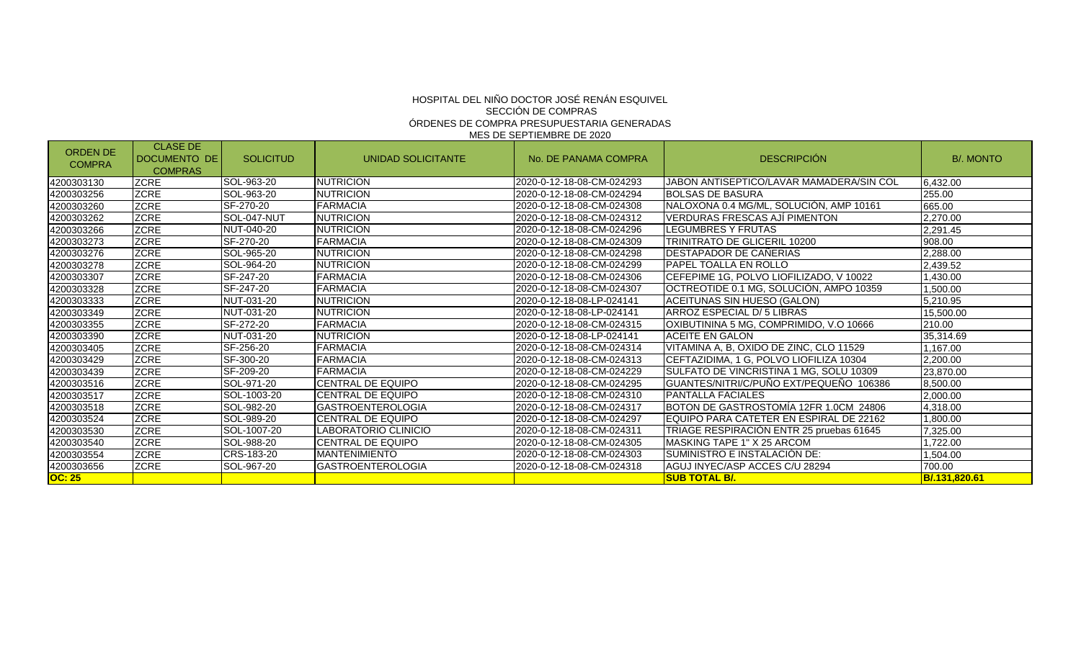| <b>ORDEN DE</b><br><b>COMPRA</b> | <b>CLASE DE</b><br><b>DOCUMENTO DE</b><br><b>COMPRAS</b> | <b>SOLICITUD</b> | UNIDAD SOLICITANTE       | No. DE PANAMA COMPRA       | <b>DESCRIPCIÓN</b>                       | <b>B/. MONTO</b> |
|----------------------------------|----------------------------------------------------------|------------------|--------------------------|----------------------------|------------------------------------------|------------------|
| 4200303130                       | <b>ZCRE</b>                                              | SOL-963-20       | <b>NUTRICION</b>         | 2020-0-12-18-08-CM-024293  | JABON ANTISEPTICO/LAVAR MAMADERA/SIN COL | 6.432.00         |
| 4200303256                       | <b>ZCRE</b>                                              | SOL-963-20       | <b>NUTRICION</b>         | 2020-0-12-18-08-CM-024294  | <b>BOLSAS DE BASURA</b>                  | 255.00           |
| 4200303260                       | <b>ZCRE</b>                                              | SF-270-20        | <b>FARMACIA</b>          | 2020-0-12-18-08-CM-024308  | NALOXONA 0.4 MG/ML, SOLUCIÓN, AMP 10161  | 665.00           |
| 4200303262                       | <b>ZCRE</b>                                              | SOL-047-NUT      | <b>NUTRICION</b>         | 2020-0-12-18-08-CM-024312  | <b>VERDURAS FRESCAS AJI PIMENTON</b>     | 2,270.00         |
| 4200303266                       | <b>ZCRE</b>                                              | NUT-040-20       | <b>NUTRICION</b>         | 2020-0-12-18-08-CM-024296  | LEGUMBRES Y FRUTAS                       | 2,291.45         |
| 4200303273                       | <b>ZCRE</b>                                              | SF-270-20        | <b>FARMACIA</b>          | 2020-0-12-18-08-CM-024309  | <b>TRINITRATO DE GLICERIL 10200</b>      | 908.00           |
| 4200303276                       | <b>ZCRE</b>                                              | SOL-965-20       | <b>NUTRICION</b>         | 2020-0-12-18-08-CM-024298  | DESTAPADOR DE CAÑERIAS                   | 2,288.00         |
| 4200303278                       | <b>ZCRE</b>                                              | SOL-964-20       | <b>NUTRICION</b>         | 2020-0-12-18-08-CM-024299  | <b>PAPEL TOALLA EN ROLLO</b>             | 2,439.52         |
| 4200303307                       | <b>ZCRE</b>                                              | SF-247-20        | <b>FARMACIA</b>          | 2020-0-12-18-08-CM-024306  | CEFEPIME 1G. POLVO LIOFILIZADO. V 10022  | 1,430.00         |
| 4200303328                       | <b>ZCRE</b>                                              | SF-247-20        | <b>FARMACIA</b>          | 2020-0-12-18-08-CM-024307  | OCTREOTIDE 0.1 MG, SOLUCIÓN, AMPO 10359  | 1,500.00         |
| 4200303333                       | <b>ZCRE</b>                                              | NUT-031-20       | <b>NUTRICION</b>         | 2020-0-12-18-08-LP-024141  | ACEITUNAS SIN HUESO (GALON)              | 5,210.95         |
| 4200303349                       | <b>ZCRE</b>                                              | NUT-031-20       | <b>NUTRICION</b>         | 2020-0-12-18-08-LP-024141  | ARROZ ESPECIAL D/5 LIBRAS                | 15.500.00        |
| 4200303355                       | <b>ZCRE</b>                                              | SF-272-20        | <b>FARMACIA</b>          | 2020-0-12-18-08-CM-024315  | OXIBUTININA 5 MG, COMPRIMIDO, V.O 10666  | 210.00           |
| 4200303390                       | <b>ZCRE</b>                                              | NUT-031-20       | <b>NUTRICION</b>         | 2020-0-12-18-08-LP-024141  | <b>ACEITE EN GALON</b>                   | 35,314.69        |
| 4200303405                       | <b>ZCRE</b>                                              | SF-256-20        | <b>FARMACIA</b>          | l2020-0-12-18-08-CM-024314 | VITAMINA A. B. OXIDO DE ZINC. CLO 11529  | 1,167.00         |
| 4200303429                       | <b>ZCRE</b>                                              | SF-300-20        | <b>FARMACIA</b>          | 2020-0-12-18-08-CM-024313  | CEFTAZIDIMA, 1 G. POLVO LIOFILIZA 10304  | 2,200.00         |
| 4200303439                       | <b>ZCRE</b>                                              | SF-209-20        | <b>FARMACIA</b>          | 2020-0-12-18-08-CM-024229  | SULFATO DE VINCRISTINA 1 MG. SOLU 10309  | 23.870.00        |
| 4200303516                       | <b>ZCRE</b>                                              | SOL-971-20       | <b>CENTRAL DE EQUIPO</b> | 2020-0-12-18-08-CM-024295  | GUANTES/NITRI/C/PUÑO EXT/PEQUEÑO 106386  | 8,500.00         |
| 4200303517                       | <b>ZCRE</b>                                              | SOL-1003-20      | <b>CENTRAL DE EQUIPO</b> | 2020-0-12-18-08-CM-024310  | <b>PANTALLA FACIALES</b>                 | 2,000.00         |
| 4200303518                       | <b>ZCRE</b>                                              | SOL-982-20       | <b>GASTROENTEROLOGIA</b> | 2020-0-12-18-08-CM-024317  | BOTON DE GASTROSTOMÍA 12FR 1.0CM 24806   | 4,318.00         |
| 4200303524                       | <b>ZCRE</b>                                              | SOL-989-20       | CENTRAL DE EQUIPO        | 2020-0-12-18-08-CM-024297  | EQUIPO PARA CATETER EN ESPIRAL DE 22162  | 1,800.00         |
| 4200303530                       | <b>ZCRE</b>                                              | SOL-1007-20      | LABORATORIO CLINICIO     | l2020-0-12-18-08-CM-024311 | TRIAGE RESPIRACIÓN ENTR 25 pruebas 61645 | 7,325.00         |
| 4200303540                       | <b>ZCRE</b>                                              | SOL-988-20       | <b>CENTRAL DE EQUIPO</b> | 2020-0-12-18-08-CM-024305  | MASKING TAPE 1" X 25 ARCOM               | 1.722.00         |
| 4200303554                       | <b>ZCRE</b>                                              | CRS-183-20       | <b>IMANTENIMIENTO</b>    | 2020-0-12-18-08-CM-024303  | SUMINISTRO E INSTALACIÓN DE:             | 1,504.00         |
| 4200303656                       | <b>ZCRE</b>                                              | SOL-967-20       | <b>GASTROENTEROLOGIA</b> | 2020-0-12-18-08-CM-024318  | AGUJ INYEC/ASP ACCES C/U 28294           | 700.00           |
| <b>OC: 25</b>                    |                                                          |                  |                          |                            | <b>SUB TOTAL B/.</b>                     | B/.131.820.61    |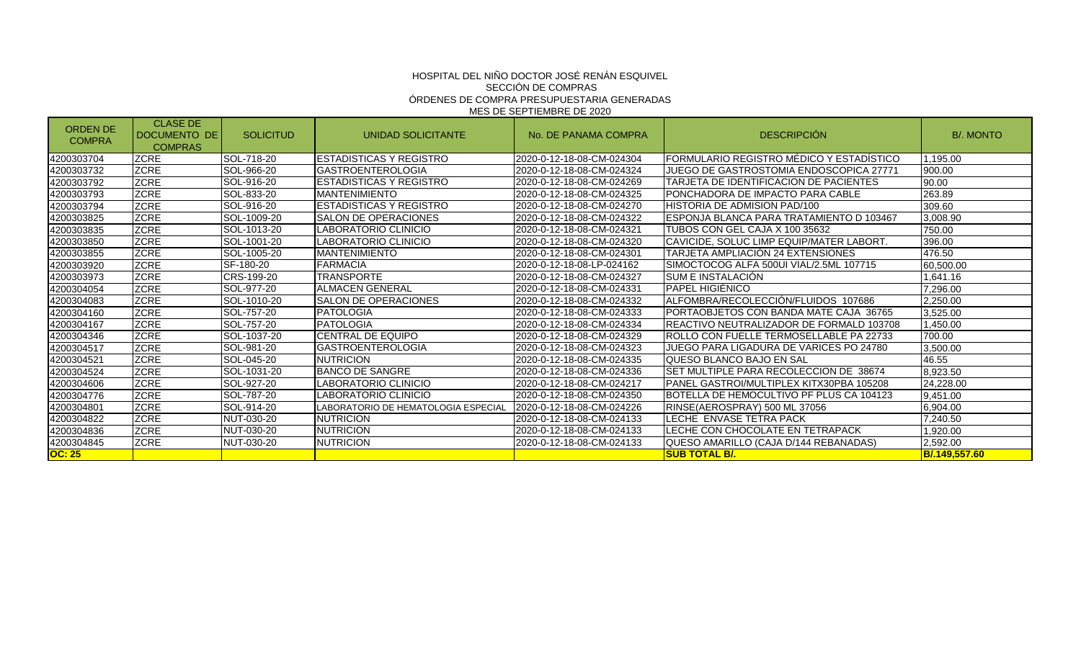| <b>ORDEN DE</b><br><b>COMPRA</b> | <b>CLASE DE</b><br><b>IDOCUMENTO DE</b><br><b>COMPRAS</b> | <b>SOLICITUD</b>   | UNIDAD SOLICITANTE                 | No. DE PANAMA COMPRA       | <b>DESCRIPCIÓN</b>                        | <b>B/. MONTO</b> |
|----------------------------------|-----------------------------------------------------------|--------------------|------------------------------------|----------------------------|-------------------------------------------|------------------|
| 4200303704                       | <b>ZCRE</b>                                               | <b>SOL-718-20</b>  | IESTADISTICAS Y REGISTRO           | 2020-0-12-18-08-CM-024304  | FORMULARIO REGISTRO MEDICO Y ESTADISTICO  | 1.195.00         |
| 4200303732                       | <b>ZCRE</b>                                               | SOL-966-20         | <b>GASTROENTEROLOGIA</b>           | 2020-0-12-18-08-CM-024324  | JUEGO DE GASTROSTOMIA ENDOSCOPICA 27771   | 900.00           |
| 4200303792                       | <b>ZCRE</b>                                               | SOL-916-20         | ESTADISTICAS Y REGISTRO            | 2020-0-12-18-08-CM-024269  | TARJETA DE IDENTIFICACION DE PACIENTES    | 90.00            |
| 4200303793                       | <b>ZCRE</b>                                               | SOL-833-20         | <b>MANTENIMIENTO</b>               | 2020-0-12-18-08-CM-024325  | PONCHADORA DE IMPACTO PARA CABLE          | 263.89           |
| 4200303794                       | <b>ZCRE</b>                                               | SOL-916-20         | <b>ESTADISTICAS Y REGISTRO</b>     | l2020-0-12-18-08-CM-024270 | HISTORIA DE ADMISION PAD/100              | 309.60           |
| 4200303825                       | <b>ZCRE</b>                                               | SOL-1009-20        | SALON DE OPERACIONES               | 2020-0-12-18-08-CM-024322  | IESPONJA BLANCA PARA TRATAMIENTO D 103467 | 3,008.90         |
| 4200303835                       | <b>ZCRE</b>                                               | <b>SOL-1013-20</b> | LABORATORIO CLINICIO               | 2020-0-12-18-08-CM-024321  | TUBOS CON GEL CAJA X 100 35632            | 750.00           |
| 4200303850                       | <b>ZCRE</b>                                               | SOL-1001-20        | LABORATORIO CLINICIO               | 2020-0-12-18-08-CM-024320  | ICAVICIDE. SOLUC LIMP EQUIP/MATER LABORT. | 396.00           |
| 4200303855                       | <b>ZCRE</b>                                               | SOL-1005-20        | <b>MANTENIMIENTO</b>               | 2020-0-12-18-08-CM-024301  | <b>TARJETA AMPLIACION 24 EXTENSIONES</b>  | 476.50           |
| 4200303920                       | <b>ZCRE</b>                                               | SF-180-20          | <b>FARMACIA</b>                    | 2020-0-12-18-08-LP-024162  | SIMOCTOCOG ALFA 500UI VIAL/2.5ML 107715   | 60,500.00        |
| 4200303973                       | <b>ZCRE</b>                                               | CRS-199-20         | <b>TRANSPORTE</b>                  | 2020-0-12-18-08-CM-024327  | <b>ISUM E INSTALACION</b>                 | 1,641.16         |
| 4200304054                       | <b>ZCRE</b>                                               | SOL-977-20         | ALMACEN GENERAL                    | 2020-0-12-18-08-CM-024331  | IPAPEL HIGIENICO                          | 7,296.00         |
| 4200304083                       | <b>ZCRE</b>                                               | SOL-1010-20        | <b>ISALON DE OPERACIONES</b>       | 2020-0-12-18-08-CM-024332  | ALFOMBRA/RECOLECCION/FLUIDOS 107686       | 2,250.00         |
| 4200304160                       | <b>ZCRE</b>                                               | SOL-757-20         | <b>PATOLOGIA</b>                   | 2020-0-12-18-08-CM-024333  | PORTAOBJETOS CON BANDA MATE CAJA 36765    | 3,525.00         |
| 4200304167                       | <b>ZCRE</b>                                               | SOL-757-20         | <b>IPATOLOGIA</b>                  | 2020-0-12-18-08-CM-024334  | IREACTIVO NEUTRALIZADOR DE FORMALD 103708 | 1.450.00         |
| 4200304346                       | <b>ZCRE</b>                                               | SOL-1037-20        | <b>CENTRAL DE EQUIPO</b>           | 2020-0-12-18-08-CM-024329  | ROLLO CON FUELLE TERMOSELLABLE PA 22733   | 700.00           |
| 4200304517                       | <b>ZCRE</b>                                               | SOL-981-20         | <b>GASTROENTEROLOGIA</b>           | 2020-0-12-18-08-CM-024323  | JUEGO PARA LIGADURA DE VARICES PO 24780   | 3,500.00         |
| 4200304521                       | <b>ZCRE</b>                                               | SOL-045-20         | <b>NUTRICION</b>                   | 2020-0-12-18-08-CM-024335  | QUESO BLANCO BAJO EN SAL                  | 46.55            |
| 4200304524                       | <b>ZCRE</b>                                               | SOL-1031-20        | <b>BANCO DE SANGRE</b>             | 2020-0-12-18-08-CM-024336  | SET MULTIPLE PARA RECOLECCION DE 38674    | 8,923.50         |
| 4200304606                       | <b>ZCRE</b>                                               | <b>SOL-927-20</b>  | LABORATORIO CLINICIO               | 2020-0-12-18-08-CM-024217  | IPANEL GASTROI/MULTIPLEX KITX30PBA 105208 | 24,228.00        |
| 4200304776                       | <b>ZCRE</b>                                               | SOL-787-20         | LABORATORIO CLINICIO               | 2020-0-12-18-08-CM-024350  | BOTELLA DE HEMOCULTIVO PF PLUS CA 104123  | 9,451.00         |
| 4200304801                       | <b>ZCRE</b>                                               | SOL-914-20         | ABORATORIO DE HEMATOLOGIA ESPECIAL | 2020-0-12-18-08-CM-024226  | RINSE(AEROSPRAY) 500 ML 37056             | 6,904.00         |
| 4200304822                       | <b>ZCRE</b>                                               | NUT-030-20         | NUTRICION                          | 2020-0-12-18-08-CM-024133  | LECHE ENVASE TETRA PACK                   | 7,240.50         |
| 4200304836                       | <b>ZCRE</b>                                               | NUT-030-20         | <b>NUTRICION</b>                   | 2020-0-12-18-08-CM-024133  | LECHE CON CHOCOLATE EN TETRAPACK          | 1,920.00         |
| 4200304845                       | <b>ZCRE</b>                                               | NUT-030-20         | NUTRICION                          | 2020-0-12-18-08-CM-024133  | QUESO AMARILLO (CAJA D/144 REBANADAS)     | 2,592.00         |
| <b>OC: 25</b>                    |                                                           |                    |                                    |                            | <u>ISUB TOTAL B/.</u>                     | B/.149,557.60    |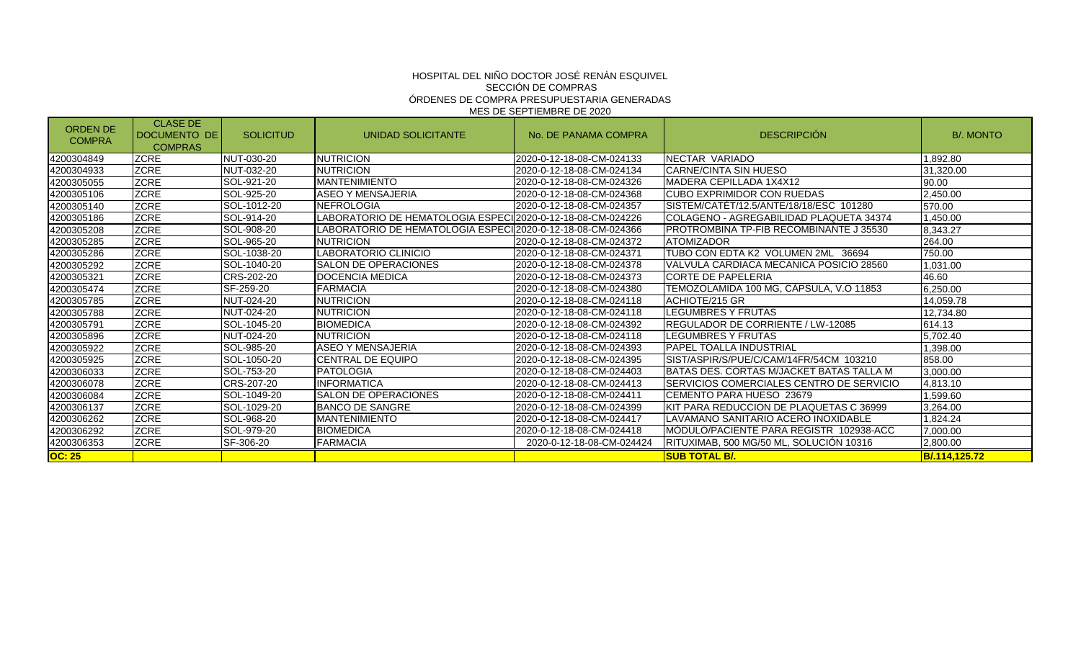| <b>ORDEN DE</b><br><b>COMPRA</b> | <b>CLASE DE</b><br><b>IDOCUMENTO DE</b><br><b>COMPRAS</b> | <b>SOLICITUD</b>  | UNIDAD SOLICITANTE                                          | No. DE PANAMA COMPRA       | <b>DESCRIPCIÓN</b>                        | <b>B/. MONTO</b> |
|----------------------------------|-----------------------------------------------------------|-------------------|-------------------------------------------------------------|----------------------------|-------------------------------------------|------------------|
| 4200304849                       | <b>ZCRE</b>                                               | <b>NUT-030-20</b> | <b>NUTRICION</b>                                            | I2020-0-12-18-08-CM-024133 | NECTAR VARIADO                            | 1,892.80         |
| 4200304933                       | <b>ZCRE</b>                                               | NUT-032-20        | <b>NUTRICION</b>                                            | 2020-0-12-18-08-CM-024134  | <b>CARNE/CINTA SIN HUESO</b>              | 31,320.00        |
| 4200305055                       | <b>ZCRE</b>                                               | SOL-921-20        | <b>MANTENIMIENTO</b>                                        | 2020-0-12-18-08-CM-024326  | IMADERA CEPILLADA 1X4X12                  | 90.00            |
| 4200305106                       | <b>ZCRE</b>                                               | SOL-925-20        | <b>ASEO Y MENSAJERIA</b>                                    | 2020-0-12-18-08-CM-024368  | ICUBO EXPRIMIDOR CON RUEDAS               | 2,450.00         |
| 4200305140                       | <b>ZCRE</b>                                               | SOL-1012-20       | <b>NEFROLOGIA</b>                                           | 2020-0-12-18-08-CM-024357  | SISTEM/CATET/12.5/ANTE/18/18/ESC 101280   | 570.00           |
| 4200305186                       | <b>ZCRE</b>                                               | SOL-914-20        | LABORATORIO DE HEMATOLOGIA ESPECII2020-0-12-18-08-CM-024226 |                            | COLAGENO - AGREGABILIDAD PLAQUETA 34374   | 1,450.00         |
| 4200305208                       | <b>ZCRE</b>                                               | SOL-908-20        | LABORATORIO DE HEMATOLOGIA ESPECII2020-0-12-18-08-CM-024366 |                            | PROTROMBINA TP-FIB RECOMBINANTE J 35530   | 8,343.27         |
| 4200305285                       | <b>ZCRE</b>                                               | SOL-965-20        | <b>NUTRICION</b>                                            | 2020-0-12-18-08-CM-024372  | <b>ATOMIZADOR</b>                         | 264.00           |
| 4200305286                       | <b>ZCRE</b>                                               | SOL-1038-20       | LABORATORIO CLINICIO                                        | 2020-0-12-18-08-CM-024371  | TUBO CON EDTA K2 VOLUMEN 2ML 36694        | 750.00           |
| 4200305292                       | <b>ZCRE</b>                                               | SOL-1040-20       | <b>ISALON DE OPERACIONES</b>                                | 2020-0-12-18-08-CM-024378  | VALVULA CARDIACA MECANICA POSICIO 28560   | 1,031.00         |
| 4200305321                       | <b>ZCRE</b>                                               | CRS-202-20        | DOCENCIA MEDICA                                             | 2020-0-12-18-08-CM-024373  | <b>CORTE DE PAPELERIA</b>                 | 46.60            |
| 4200305474                       | <b>ZCRE</b>                                               | SF-259-20         | <b>FARMACIA</b>                                             | 2020-0-12-18-08-CM-024380  | TEMOZOLAMIDA 100 MG. CAPSULA. V.O 11853   | 6,250.00         |
| 4200305785                       | <b>ZCRE</b>                                               | <b>NUT-024-20</b> | NUTRICION                                                   | 2020-0-12-18-08-CM-024118  | ACHIOTE/215 GR                            | 14.059.78        |
| 4200305788                       | <b>ZCRE</b>                                               | NUT-024-20        | <b>NUTRICION</b>                                            | 2020-0-12-18-08-CM-024118  | <b>LEGUMBRES Y FRUTAS</b>                 | 12.734.80        |
| 4200305791                       | <b>ZCRE</b>                                               | SOL-1045-20       | <b>BIOMEDICA</b>                                            | 2020-0-12-18-08-CM-024392  | REGULADOR DE CORRIENTE / LW-12085         | 614.13           |
| 4200305896                       | <b>ZCRE</b>                                               | NUT-024-20        | <b>NUTRICION</b>                                            | l2020-0-12-18-08-CM-024118 | LEGUMBRES Y FRUTAS                        | 5,702.40         |
| 4200305922                       | <b>ZCRE</b>                                               | SOL-985-20        | ASEO Y MENSAJERIA                                           | 2020-0-12-18-08-CM-024393  | IPAPEL TOALLA INDUSTRIAL                  | 1,398.00         |
| 4200305925                       | <b>ZCRE</b>                                               | SOL-1050-20       | <b>CENTRAL DE EQUIPO</b>                                    | 2020-0-12-18-08-CM-024395  | SIST/ASPIR/S/PUE/C/CAM/14FR/54CM 103210   | 858.00           |
| 4200306033                       | <b>ZCRE</b>                                               | SOL-753-20        | <b>PATOLOGIA</b>                                            | 2020-0-12-18-08-CM-024403  | IBATAS DES. CORTAS M/JACKET BATAS TALLA M | 3,000.00         |
| 4200306078                       | <b>ZCRE</b>                                               | <b>CRS-207-20</b> | <b>INFORMATICA</b>                                          | 2020-0-12-18-08-CM-024413  | SERVICIOS COMERCIALES CENTRO DE SERVICIO  | 4,813.10         |
| 4200306084                       | <b>ZCRE</b>                                               | SOL-1049-20       | <b>I</b> SALON DE OPERACIONES                               | 2020-0-12-18-08-CM-024411  | CEMENTO PARA HUESO 23679                  | 1,599.60         |
| 4200306137                       | <b>ZCRE</b>                                               | SOL-1029-20       | <b>BANCO DE SANGRE</b>                                      | 2020-0-12-18-08-CM-024399  | KIT PARA REDUCCION DE PLAQUETAS C 36999   | 3,264.00         |
| 4200306262                       | <b>ZCRE</b>                                               | SOL-968-20        | <b>IMANTENIMIENTO</b>                                       | 2020-0-12-18-08-CM-024417  | LAVAMANO SANITARIO ACERO INOXIDABLE       | 1,824.24         |
| 4200306292                       | <b>ZCRE</b>                                               | SOL-979-20        | BIOMEDICA                                                   | 2020-0-12-18-08-CM-024418  | MODULO/PACIENTE PARA REGISTR 102938-ACC   | 7,000.00         |
| 4200306353                       | <b>ZCRE</b>                                               | SF-306-20         | <b>FARMACIA</b>                                             | 2020-0-12-18-08-CM-024424  | IRITUXIMAB, 500 MG/50 ML, SOLUCION 10316  | 2.800.00         |
| <b>OC: 25</b>                    |                                                           |                   |                                                             |                            | <u>ISUB TOTAL B/.</u>                     | B/.114,125.72    |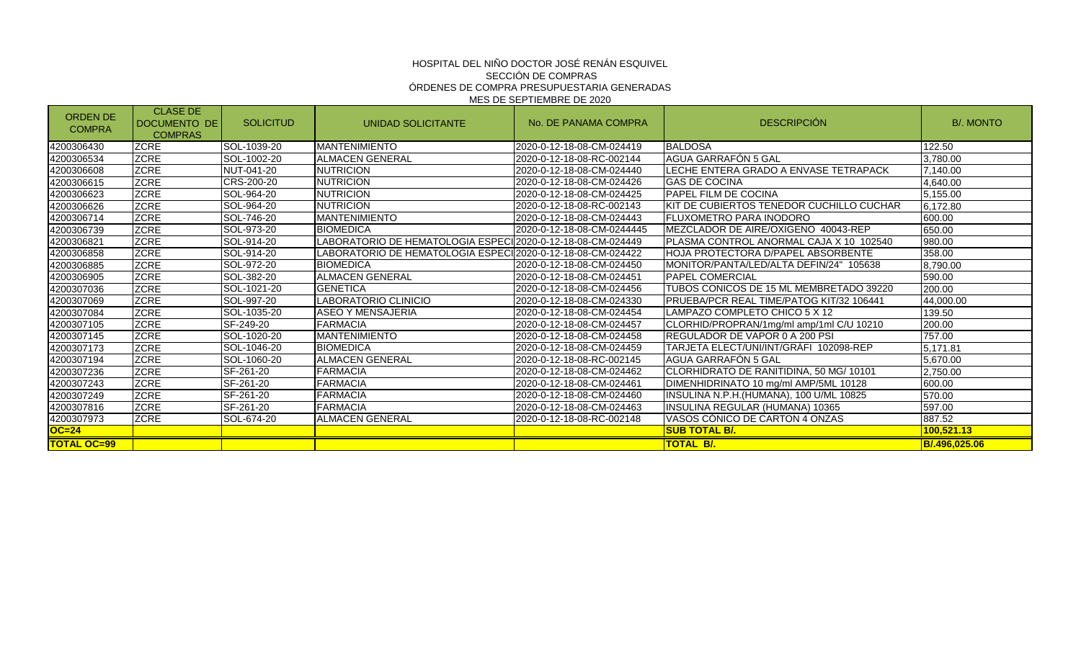| <b>ORDEN DE</b><br><b>COMPRA</b> | <b>CLASE DE</b><br><b>IDOCUMENTO DE</b><br><b>COMPRAS</b> | <b>SOLICITUD</b> | UNIDAD SOLICITANTE                                              | No. DE PANAMA COMPRA       | <b>DESCRIPCIÓN</b>                        | <b>B/. MONTO</b> |
|----------------------------------|-----------------------------------------------------------|------------------|-----------------------------------------------------------------|----------------------------|-------------------------------------------|------------------|
| 4200306430                       | <b>ZCRE</b>                                               | SOL-1039-20      | <b>MANTENIMIENTO</b>                                            | 2020-0-12-18-08-CM-024419  | <b>BALDOSA</b>                            | 122.50           |
| 4200306534                       | <b>ZCRE</b>                                               | SOL-1002-20      | <b>ALMACEN GENERAL</b>                                          | 2020-0-12-18-08-RC-002144  | AGUA GARRAFÓN 5 GAL                       | 3,780.00         |
| 4200306608                       | <b>ZCRE</b>                                               | NUT-041-20       | <b>NUTRICION</b>                                                | 2020-0-12-18-08-CM-024440  | LECHE ENTERA GRADO A ENVASE TETRAPACK     | 7,140.00         |
| 4200306615                       | <b>ZCRE</b>                                               | CRS-200-20       | NUTRICION                                                       | 2020-0-12-18-08-CM-024426  | IGAS DE COCINA                            | 4,640.00         |
| 4200306623                       | <b>ZCRE</b>                                               | SOL-964-20       | <b>NUTRICION</b>                                                | 2020-0-12-18-08-CM-024425  | IPAPEL FILM DE COCINA                     | 5,155.00         |
| 4200306626                       | <b>ZCRE</b>                                               | SOL-964-20       | NUTRICION                                                       | 2020-0-12-18-08-RC-002143  | KIT DE CUBIERTOS TENEDOR CUCHILLO CUCHAR  | 6,172.80         |
| 4200306714                       | <b>ZCRE</b>                                               | SOL-746-20       | <b>MANTENIMIENTO</b>                                            | 2020-0-12-18-08-CM-024443  | FLUXOMETRO PARA INODORO                   | 600.00           |
| 4200306739                       | <b>ZCRE</b>                                               | SOL-973-20       | <b>BIOMEDICA</b>                                                | 2020-0-12-18-08-CM-0244445 | MEZCLADOR DE AIRE/OXIGENO 40043-REP       | 650.00           |
| 4200306821                       | <b>ZCRE</b>                                               | SOL-914-20       | ABORATORIO DE HEMATOLOGIA ESPECI $ 2020$ -0-12-18-08-CM-024449- |                            | PLASMA CONTROL ANORMAL CAJA X 10 102540   | 980.00           |
| 4200306858                       | <b>ZCRE</b>                                               | SOL-914-20       | LABORATORIO DE HEMATOLOGIA ESPECII2020-0-12-18-08-CM-024422     |                            | <b>HOJA PROTECTORA D/PAPEL ABSORBENTE</b> | 358.00           |
| 4200306885                       | <b>ZCRE</b>                                               | SOL-972-20       | BIOMEDICA                                                       | 2020-0-12-18-08-CM-024450  | MONITOR/PANTA/LED/ALTA DEFIN/24" 105638   | 8,790.00         |
| 4200306905                       | <b>ZCRE</b>                                               | SOL-382-20       | <b>ALMACEN GENERAL</b>                                          | 2020-0-12-18-08-CM-024451  | <b>IPAPEL COMERCIAL</b>                   | 590.00           |
| 4200307036                       | <b>ZCRE</b>                                               | SOL-1021-20      | <b>GENETICA</b>                                                 | 2020-0-12-18-08-CM-024456  | TUBOS CONICOS DE 15 ML MEMBRETADO 39220   | 200.00           |
| 4200307069                       | <b>ZCRE</b>                                               | SOL-997-20       | LABORATORIO CLINICIO                                            | 2020-0-12-18-08-CM-024330  | PRUEBA/PCR REAL TIME/PATOG KIT/32 106441  | 44,000.00        |
| 4200307084                       | <b>ZCRE</b>                                               | SOL-1035-20      | ASEO Y MENSAJERIA                                               | 2020-0-12-18-08-CM-024454  | LAMPAZO COMPLETO CHICO 5 X 12             | 139.50           |
| 4200307105                       | <b>ZCRE</b>                                               | SF-249-20        | FARMACIA                                                        | 2020-0-12-18-08-CM-024457  | CLORHID/PROPRAN/1mg/ml amp/1ml C/U 10210  | 200.00           |
| 4200307145                       | <b>ZCRE</b>                                               | SOL-1020-20      | <b>MANTENIMIENTO</b>                                            | 2020-0-12-18-08-CM-024458  | IREGULADOR DE VAPOR 0 A 200 PSI           | 757.00           |
| 4200307173                       | <b>ZCRE</b>                                               | SOL-1046-20      | BIOMEDICA                                                       | 2020-0-12-18-08-CM-024459  | TARJETA ELECT/UNI/INT/GRAFI_102098-REP    | 5,171.81         |
| 4200307194                       | <b>ZCRE</b>                                               | SOL-1060-20      | <b>ALMACEN GENERAL</b>                                          | 2020-0-12-18-08-RC-002145  | AGUA GARRAFÓN 5 GAL                       | 5,670.00         |
| 4200307236                       | <b>ZCRE</b>                                               | SF-261-20        | <b>FARMACIA</b>                                                 | 2020-0-12-18-08-CM-024462  | CLORHIDRATO DE RANITIDINA, 50 MG/ 10101   | 2,750.00         |
| 4200307243                       | <b>ZCRE</b>                                               | SF-261-20        | FARMACIA                                                        | 2020-0-12-18-08-CM-024461  | DIMENHIDRINATO 10 mg/ml AMP/5ML 10128     | 600.00           |
| 4200307249                       | <b>ZCRE</b>                                               | SF-261-20        | FARMACIA                                                        | 2020-0-12-18-08-CM-024460  | INSULINA N.P.H. (HUMANA), 100 U/ML 10825  | 570.00           |
| 4200307816                       | <b>ZCRE</b>                                               | SF-261-20        | FARMACIA                                                        | 2020-0-12-18-08-CM-024463  | INSULINA REGULAR (HUMANA) 10365           | 597.00           |
| 4200307973                       | <b>ZCRE</b>                                               | SOL-674-20       | <b>ALMACEN GENERAL</b>                                          | 2020-0-12-18-08-RC-002148  | VASOS CÓNICO DE CARTON 4 ONZAS            | 887.52           |
| OC=24                            |                                                           |                  |                                                                 |                            | <b>SUB TOTAL B/.</b>                      | 100,521.13       |
| <b>TOTAL OC=99</b>               |                                                           |                  |                                                                 |                            | <b>TOTAL B/.</b>                          | B/.496.025.06    |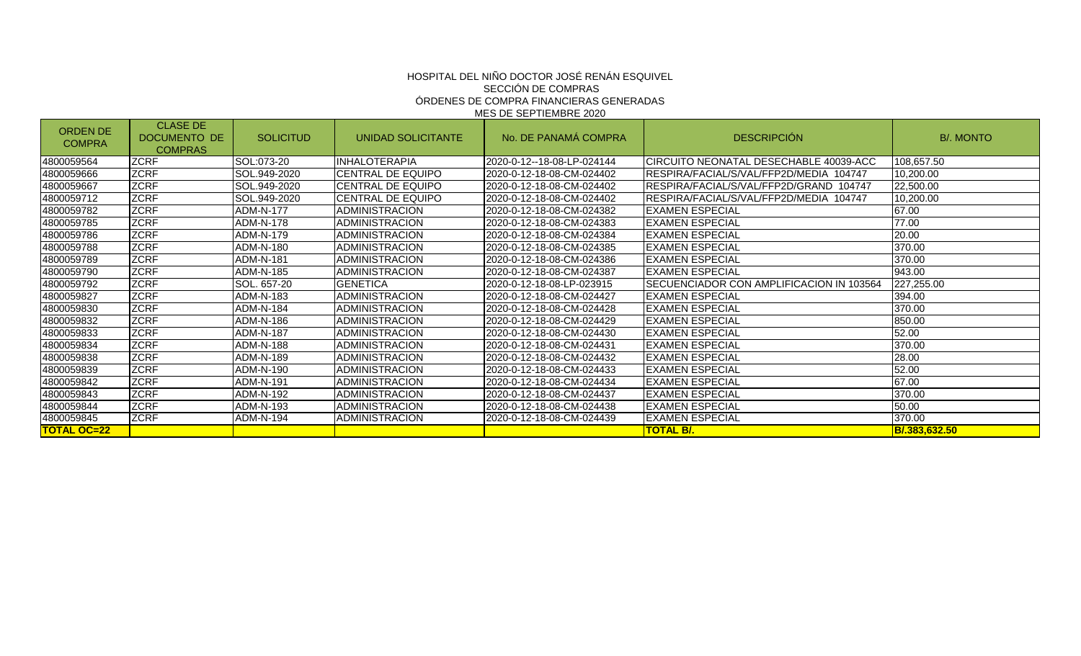#### HOSPITAL DEL NINO DOCTOR JOSÉ RENAN ESQUIVEL SECCIÓN DE COMPRAS ÓRDENES DE COMPRA FINANCIERAS GENERADAS MES DE SEPTIEMBRE 2020

| <b>ORDEN DE</b><br><b>COMPRA</b> | <b>CLASE DE</b><br>DOCUMENTO DE<br><b>COMPRAS</b> | <b>SOLICITUD</b> | UNIDAD SOLICITANTE        | No. DE PANAMÁ COMPRA       | <b>DESCRIPCIÓN</b>                          | <b>B/. MONTO</b> |
|----------------------------------|---------------------------------------------------|------------------|---------------------------|----------------------------|---------------------------------------------|------------------|
| 4800059564                       | <b>ZCRF</b>                                       | SOL:073-20       | <b>INHALOTERAPIA</b>      | 2020-0-12--18-08-LP-024144 | ICIRCUITO NEONATAL DESECHABLE 40039-ACC     | 108,657.50       |
| 4800059666                       | <b>ZCRF</b>                                       | SOL.949-2020     | <b>CENTRAL DE EQUIPO</b>  | 2020-0-12-18-08-CM-024402  | RESPIRA/FACIAL/S/VAL/FFP2D/MEDIA 104747     | 10,200.00        |
| 4800059667                       | <b>ZCRF</b>                                       | SOL.949-2020     | <b>ICENTRAL DE EQUIPO</b> | 2020-0-12-18-08-CM-024402  | IRESPIRA/FACIAL/S/VAL/FFP2D/GRAND<br>104747 | 22,500.00        |
| 4800059712                       | <b>ZCRF</b>                                       | SOL.949-2020     | <b>ICENTRAL DE EQUIPO</b> | 2020-0-12-18-08-CM-024402  | IRESPIRA/FACIAL/S/VAL/FFP2D/MEDIA 104747    | 10,200.00        |
| 4800059782                       | <b>ZCRF</b>                                       | <b>ADM-N-177</b> | <b>ADMINISTRACION</b>     | 2020-0-12-18-08-CM-024382  | <b>EXAMEN ESPECIAL</b>                      | 67.00            |
| 4800059785                       | <b>ZCRF</b>                                       | ADM-N-178        | <b>ADMINISTRACION</b>     | 2020-0-12-18-08-CM-024383  | <b>EXAMEN ESPECIAL</b>                      | 77.00            |
| 4800059786                       | <b>ZCRF</b>                                       | ADM-N-179        | <b>ADMINISTRACION</b>     | 2020-0-12-18-08-CM-024384  | <b>IEXAMEN ESPECIAL</b>                     | 20.00            |
| 4800059788                       | <b>ZCRF</b>                                       | <b>ADM-N-180</b> | ADMINISTRACION            | 2020-0-12-18-08-CM-024385  | <b>EXAMEN ESPECIAL</b>                      | 370.00           |
| 4800059789                       | <b>ZCRF</b>                                       | ADM-N-181        | <b>ADMINISTRACION</b>     | 2020-0-12-18-08-CM-024386  | <b>IEXAMEN ESPECIAL</b>                     | 370.00           |
| 4800059790                       | <b>ZCRF</b>                                       | ADM-N-185        | <b>IADMINISTRACION</b>    | 2020-0-12-18-08-CM-024387  | <b>IEXAMEN ESPECIAL</b>                     | 943.00           |
| 4800059792                       | <b>ZCRF</b>                                       | SOL. 657-20      | <b>GENETICA</b>           | 2020-0-12-18-08-LP-023915  | SECUENCIADOR CON AMPLIFICACION IN 103564    | 227,255.00       |
| 4800059827                       | <b>ZCRF</b>                                       | ADM-N-183        | <b>ADMINISTRACION</b>     | 2020-0-12-18-08-CM-024427  | <b>EXAMEN ESPECIAL</b>                      | 394.00           |
| 4800059830                       | <b>ZCRF</b>                                       | ADM-N-184        | <b>ADMINISTRACION</b>     | 2020-0-12-18-08-CM-024428  | <b>IEXAMEN ESPECIAL</b>                     | 370.00           |
| 4800059832                       | <b>ZCRF</b>                                       | ADM-N-186        | <b>ADMINISTRACION</b>     | 2020-0-12-18-08-CM-024429  | <b>IEXAMEN ESPECIAL</b>                     | 850.00           |
| 4800059833                       | <b>ZCRF</b>                                       | <b>ADM-N-187</b> | <b>ADMINISTRACION</b>     | 2020-0-12-18-08-CM-024430  | <b>IEXAMEN ESPECIAL</b>                     | 52.00            |
| 4800059834                       | <b>ZCRF</b>                                       | ADM-N-188        | <b>ADMINISTRACION</b>     | 2020-0-12-18-08-CM-024431  | <b>EXAMEN ESPECIAL</b>                      | 370.00           |
| 4800059838                       | <b>ZCRF</b>                                       | ADM-N-189        | <b>IADMINISTRACION</b>    | 2020-0-12-18-08-CM-024432  | <b>IEXAMEN ESPECIAL</b>                     | 28.00            |
| 4800059839                       | <b>ZCRF</b>                                       | ADM-N-190        | <b>ADMINISTRACION</b>     | 2020-0-12-18-08-CM-024433  | <b>IEXAMEN ESPECIAL</b>                     | 52.00            |
| 4800059842                       | <b>ZCRF</b>                                       | ADM-N-191        | <b>IADMINISTRACION</b>    | 2020-0-12-18-08-CM-024434  | <b>EXAMEN ESPECIAL</b>                      | 67.00            |
| 4800059843                       | <b>ZCRF</b>                                       | ADM-N-192        | <b>ADMINISTRACION</b>     | 2020-0-12-18-08-CM-024437  | <b>IEXAMEN ESPECIAL</b>                     | 370.00           |
| 4800059844                       | <b>ZCRF</b>                                       | ADM-N-193        | <b>ADMINISTRACION</b>     | 2020-0-12-18-08-CM-024438  | <b>EXAMEN ESPECIAL</b>                      | 50.00            |
| 4800059845                       | <b>ZCRF</b>                                       | ADM-N-194        | <b>ADMINISTRACION</b>     | 2020-0-12-18-08-CM-024439  | <b>EXAMEN ESPECIAL</b>                      | 370.00           |
| <b>TOTAL OC=22</b>               |                                                   |                  |                           |                            | <b>TOTAL B/.</b>                            | B/.383,632.50    |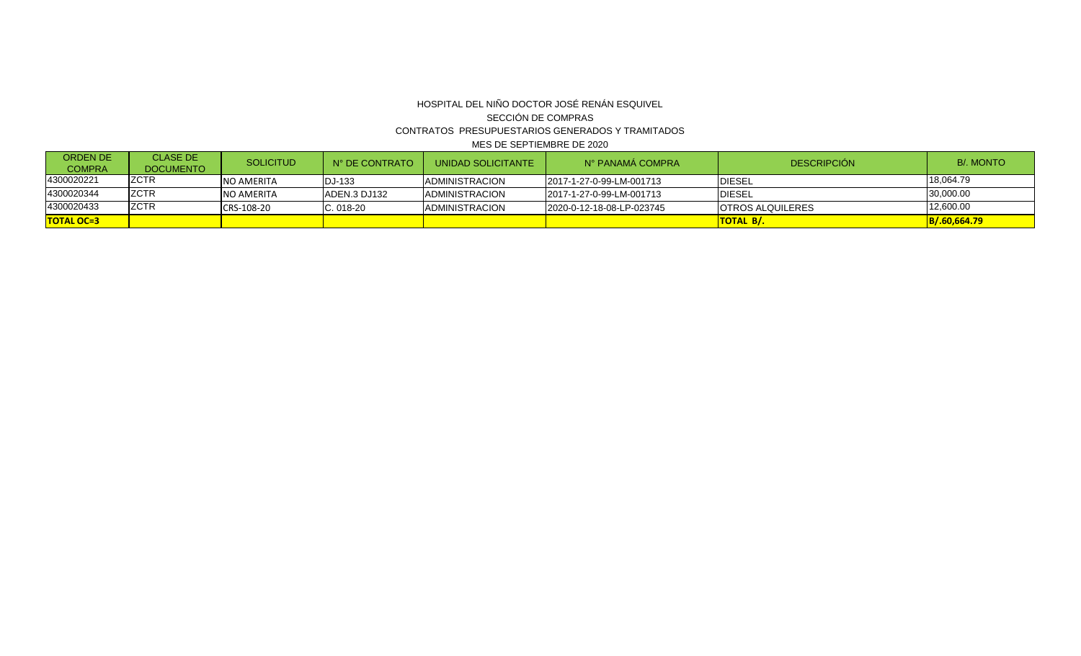### HOSPITAL DEL NIÑO DOCTOR JOSÉ RENÁN ESQUIVEL SECCIÓN DE COMPRAS CONTRATOS PRESUPUESTARIOS GENERADOS Y TRAMITADOS MES DE SEPTIEMBRE DE 2020

| <b>ORDEN DE</b><br><b>COMPRA</b> | <b>CLASE DE</b><br><b>DOCUMENTO</b> | <b>SOLICITUD</b>  | N° DE CONTRATO | UNIDAD SOLICITANTE     | N° PANAMÁ COMPRA          | <b>DESCRIPCIÓN</b>      | <b>B/. MONTO</b> |
|----------------------------------|-------------------------------------|-------------------|----------------|------------------------|---------------------------|-------------------------|------------------|
| 4300020221                       | <b>ZCTR</b>                         | INO AMERITA       | <b>IDJ-133</b> | <b>IADMINISTRACION</b> | 2017-1-27-0-99-LM-001713  | <b>DIESEL</b>           | 18,064.79        |
| 4300020344                       | <b>ZCTR</b>                         | <b>NO AMERITA</b> | IADEN.3 DJ132  | <b>IADMINISTRACION</b> | 2017-1-27-0-99-LM-001713  | <b>IDIESEL</b>          | 30,000.00        |
| 4300020433                       | <b>ZCTR</b>                         | CRS-108-20        | $C.018-20$     | <b>IADMINISTRACION</b> | 2020-0-12-18-08-LP-023745 | <b>OTROS ALQUILERES</b> | 12,600.00        |
| <b>TOTAL OC=3</b>                |                                     |                   |                |                        |                           | <b>ITOTAL B/.</b>       | B/.60,664.79     |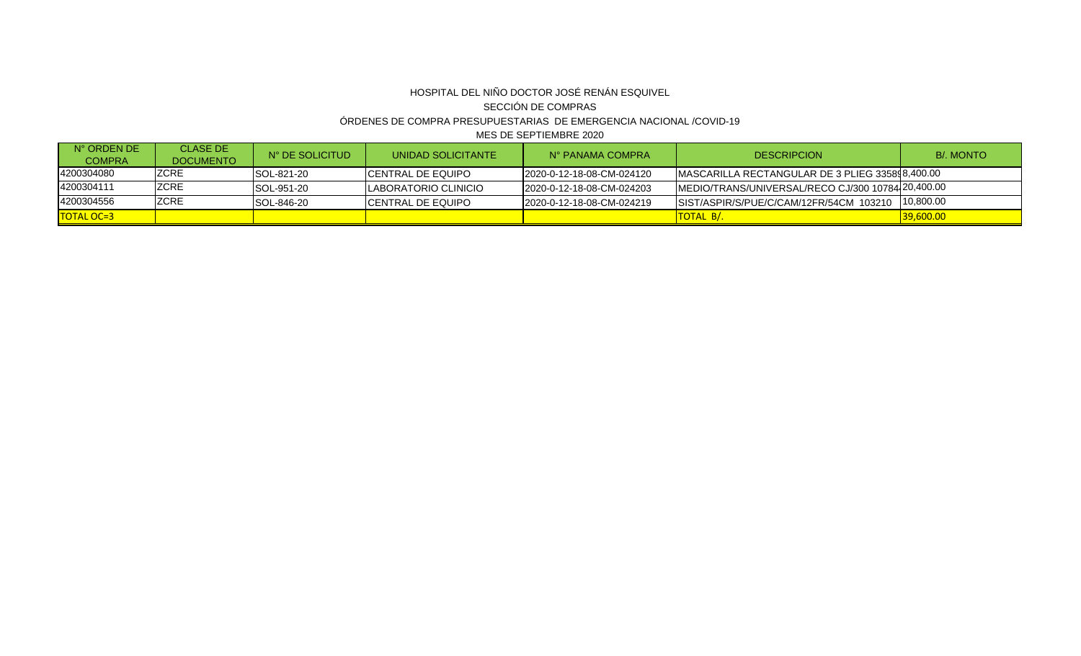# HOSPITAL DEL NIÑO DOCTOR JOSÉ RENÁN ESQUIVEL SECCIÓN DE COMPRAS ÓRDENES DE COMPRA PRESUPUESTARIAS DE EMERGENCIA NACIONAL /COVID-19

MES DE SEPTIEMBRE 2020

| $N^{\circ}$ ORDEN DE<br><b>COMPRA</b> | <b>CLASE DE</b><br><b>DOCUMENTO</b> | N° DE SOLICITUD    | UNIDAD SOLICITANTE           | N° PANAMA COMPRA           | <b>DESCRIPCION</b>                                | <b>B/. MONTO</b> |
|---------------------------------------|-------------------------------------|--------------------|------------------------------|----------------------------|---------------------------------------------------|------------------|
| 4200304080                            | IZCRE                               | <b>ISOL-821-20</b> | ICENTRAL DE EQUIPO           | 2020-0-12-18-08-CM-024120  | IMASCARILLA RECTANGULAR DE 3 PLIEG 335898,400.00  |                  |
| 4200304111                            | <b>ZCRE</b>                         | <b>SOL-951-20</b>  | <b>ILABORATORIO CLINICIO</b> | 2020-0-12-18-08-CM-024203  | MEDIO/TRANS/UNIVERSAL/RECO CJ/300 10784 20,400.00 |                  |
| 4200304556                            | <b>ZCRE</b>                         | SOL-846-20         | ICENTRAL DE EQUIPO           | I2020-0-12-18-08-CM-024219 | SIST/ASPIR/S/PUE/C/CAM/12FR/54CM 103210 10,800.00 |                  |
| TOTAL OC=3                            |                                     |                    |                              |                            | TOTAL B/.                                         | 39,600.00        |